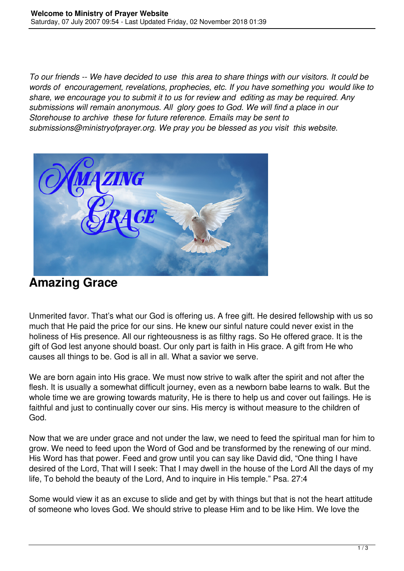*To our friends -- We have decided to use this area to share things with our visitors. It could be words of encouragement, revelations, prophecies, etc. If you have something you would like to share, we encourage you to submit it to us for review and editing as may be required. Any submissions will remain anonymous. All glory goes to God. We will find a place in our Storehouse to archive these for future reference. Emails may be sent to submissions@ministryofprayer.org. We pray you be blessed as you visit this website.*



## **Amazing Grace**

Unmerited favor. That's what our God is offering us. A free gift. He desired fellowship with us so much that He paid the price for our sins. He knew our sinful nature could never exist in the holiness of His presence. All our righteousness is as filthy rags. So He offered grace. It is the gift of God lest anyone should boast. Our only part is faith in His grace. A gift from He who causes all things to be. God is all in all. What a savior we serve.

We are born again into His grace. We must now strive to walk after the spirit and not after the flesh. It is usually a somewhat difficult journey, even as a newborn babe learns to walk. But the whole time we are growing towards maturity. He is there to help us and cover out failings. He is faithful and just to continually cover our sins. His mercy is without measure to the children of God.

Now that we are under grace and not under the law, we need to feed the spiritual man for him to grow. We need to feed upon the Word of God and be transformed by the renewing of our mind. His Word has that power. Feed and grow until you can say like David did, "One thing I have desired of the Lord, That will I seek: That I may dwell in the house of the Lord All the days of my life, To behold the beauty of the Lord, And to inquire in His temple." Psa. 27:4

Some would view it as an excuse to slide and get by with things but that is not the heart attitude of someone who loves God. We should strive to please Him and to be like Him. We love the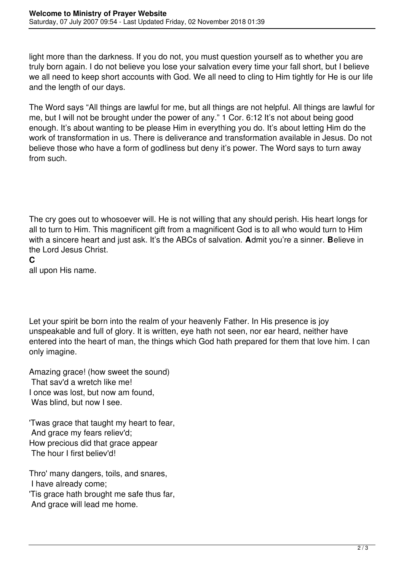light more than the darkness. If you do not, you must question yourself as to whether you are truly born again. I do not believe you lose your salvation every time your fall short, but I believe we all need to keep short accounts with God. We all need to cling to Him tightly for He is our life and the length of our days.

The Word says "All things are lawful for me, but all things are not helpful. All things are lawful for me, but I will not be brought under the power of any." 1 Cor. 6:12 It's not about being good enough. It's about wanting to be please Him in everything you do. It's about letting Him do the work of transformation in us. There is deliverance and transformation available in Jesus. Do not believe those who have a form of godliness but deny it's power. The Word says to turn away from such.

The cry goes out to whosoever will. He is not willing that any should perish. His heart longs for all to turn to Him. This magnificent gift from a magnificent God is to all who would turn to Him with a sincere heart and just ask. It's the ABCs of salvation. **A**dmit you're a sinner. **B**elieve in the Lord Jesus Christ.

**C**

all upon His name.

Let your spirit be born into the realm of your heavenly Father. In His presence is joy unspeakable and full of glory. It is written, eye hath not seen, nor ear heard, neither have entered into the heart of man, the things which God hath prepared for them that love him. I can only imagine.

Amazing grace! (how sweet the sound) That sav'd a wretch like me! I once was lost, but now am found, Was blind, but now I see.

'Twas grace that taught my heart to fear, And grace my fears reliev'd; How precious did that grace appear The hour I first believ'd!

Thro' many dangers, toils, and snares, I have already come; 'Tis grace hath brought me safe thus far, And grace will lead me home.